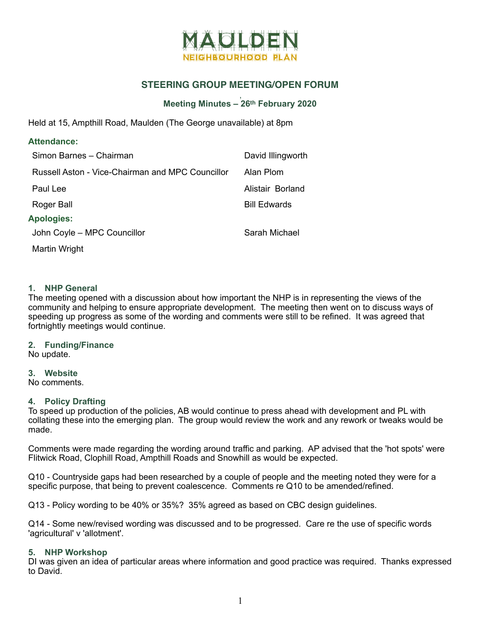

# **STEERING GROUP MEETING/OPEN FORUM**

#### , **Meeting Minutes – 26th February 2020**

Held at 15, Ampthill Road, Maulden (The George unavailable) at 8pm

| <b>Attendance:</b>                               |                     |
|--------------------------------------------------|---------------------|
| Simon Barnes - Chairman                          | David Illingworth   |
| Russell Aston - Vice-Chairman and MPC Councillor | Alan Plom           |
| Paul Lee                                         | Alistair Borland    |
| Roger Ball                                       | <b>Bill Edwards</b> |
| <b>Apologies:</b>                                |                     |
| John Coyle - MPC Councillor                      | Sarah Michael       |
| Martin Wright                                    |                     |

# **1. NHP General**

The meeting opened with a discussion about how important the NHP is in representing the views of the community and helping to ensure appropriate development. The meeting then went on to discuss ways of speeding up progress as some of the wording and comments were still to be refined. It was agreed that fortnightly meetings would continue.

**2. Funding/Finance** 

No update.

**3. Website** 

No comments.

### **4. Policy Drafting**

To speed up production of the policies, AB would continue to press ahead with development and PL with collating these into the emerging plan. The group would review the work and any rework or tweaks would be made.

Comments were made regarding the wording around traffic and parking. AP advised that the 'hot spots' were Flitwick Road, Clophill Road, Ampthill Roads and Snowhill as would be expected.

Q10 - Countryside gaps had been researched by a couple of people and the meeting noted they were for a specific purpose, that being to prevent coalescence. Comments re Q10 to be amended/refined.

Q13 - Policy wording to be 40% or 35%? 35% agreed as based on CBC design guidelines.

Q14 - Some new/revised wording was discussed and to be progressed. Care re the use of specific words 'agricultural' v 'allotment'.

### **5. NHP Workshop**

DI was given an idea of particular areas where information and good practice was required. Thanks expressed to David.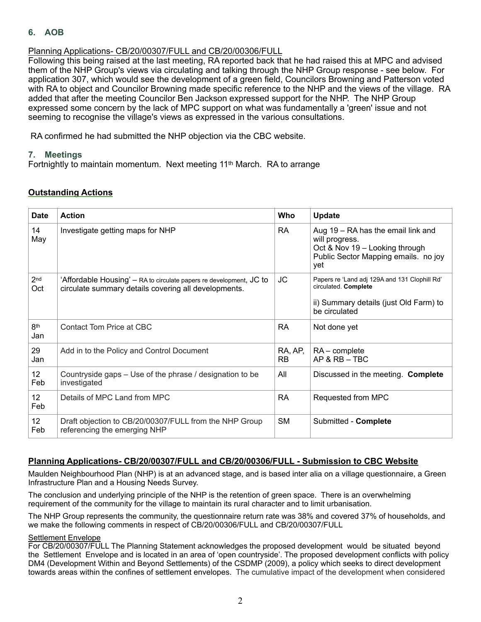# **6. AOB**

# Planning Applications- CB/20/00307/FULL and CB/20/00306/FULL

Following this being raised at the last meeting, RA reported back that he had raised this at MPC and advised them of the NHP Group's views via circulating and talking through the NHP Group response - see below. For application 307, which would see the development of a green field, Councilors Browning and Patterson voted with RA to object and Councilor Browning made specific reference to the NHP and the views of the village. RA added that after the meeting Councilor Ben Jackson expressed support for the NHP. The NHP Group expressed some concern by the lack of MPC support on what was fundamentally a 'green' issue and not seeming to recognise the village's views as expressed in the various consultations.

RA confirmed he had submitted the NHP objection via the CBC website.

# **7. Meetings**

Fortnightly to maintain momentum. Next meeting 11th March. RA to arrange

| <b>Date</b>            | <b>Action</b>                                                                                                               | Who                  | <b>Update</b>                                                                                                                         |
|------------------------|-----------------------------------------------------------------------------------------------------------------------------|----------------------|---------------------------------------------------------------------------------------------------------------------------------------|
| 14<br>May              | Investigate getting maps for NHP                                                                                            | <b>RA</b>            | Aug 19 – RA has the email link and<br>will progress.<br>Oct & Nov 19 - Looking through<br>Public Sector Mapping emails. no joy<br>vet |
| 2 <sub>nd</sub><br>Oct | 'Affordable Housing' – RA to circulate papers re development, JC to<br>circulate summary details covering all developments. | JC                   | Papers re 'Land adj 129A and 131 Clophill Rd'<br>circulated. Complete<br>ii) Summary details (just Old Farm) to<br>be circulated      |
| 8th<br>Jan             | Contact Tom Price at CBC                                                                                                    | <b>RA</b>            | Not done yet                                                                                                                          |
| 29<br>Jan              | Add in to the Policy and Control Document                                                                                   | RA, AP,<br><b>RB</b> | $RA$ – complete<br>AP & RB - TBC                                                                                                      |
| 12<br>Feb              | Countryside gaps - Use of the phrase / designation to be<br>investigated                                                    | All                  | Discussed in the meeting. Complete                                                                                                    |
| 12 <sup>°</sup><br>Feb | Details of MPC Land from MPC                                                                                                | <b>RA</b>            | Requested from MPC                                                                                                                    |
| 12 <sup>°</sup><br>Feb | Draft objection to CB/20/00307/FULL from the NHP Group<br>referencing the emerging NHP                                      | <b>SM</b>            | Submitted - Complete                                                                                                                  |

# **Planning Applications- CB/20/00307/FULL and CB/20/00306/FULL - Submission to CBC Website**

Maulden Neighbourhood Plan (NHP) is at an advanced stage, and is based inter alia on a village questionnaire, a Green Infrastructure Plan and a Housing Needs Survey.

The conclusion and underlying principle of the NHP is the retention of green space. There is an overwhelming requirement of the community for the village to maintain its rural character and to limit urbanisation.

The NHP Group represents the community, the questionnaire return rate was 38% and covered 37% of households, and we make the following comments in respect of CB/20/00306/FULL and CB/20/00307/FULL

#### Settlement Envelope

For CB/20/00307/FULL The Planning Statement acknowledges the proposed development would be situated beyond the Settlement Envelope and is located in an area of 'open countryside'. The proposed development conflicts with policy DM4 (Development Within and Beyond Settlements) of the CSDMP (2009), a policy which seeks to direct development towards areas within the confines of settlement envelopes. The cumulative impact of the development when considered